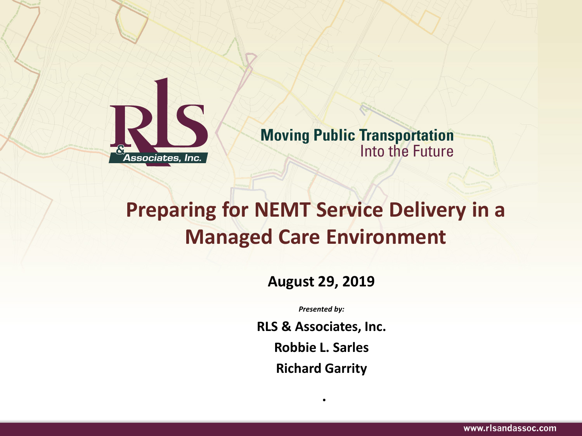

**Moving Public Transportation Into the Future** 

#### **Preparing for NEMT Service Delivery in a Managed Care Environment**

**August 29, 2019**

*Presented by:*

**RLS & Associates, Inc.**

**Robbie L. Sarles**

**Richard Garrity**

**.**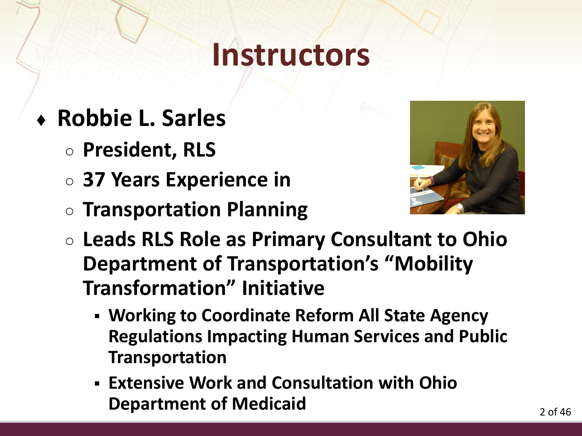### **Instructors**

- ♦ **Robbie L. Sarles**
	- **President, RLS**
	- **37 Years Experience in**
	- **Transportation Planning**



- **Leads RLS Role as Primary Consultant to Ohio Department of Transportation's "Mobility Transformation" Initiative**
	- **Working to Coordinate Reform All State Agency Regulations Impacting Human Services and Public Transportation**
	- **Extensive Work and Consultation with Ohio Department of Medicaid**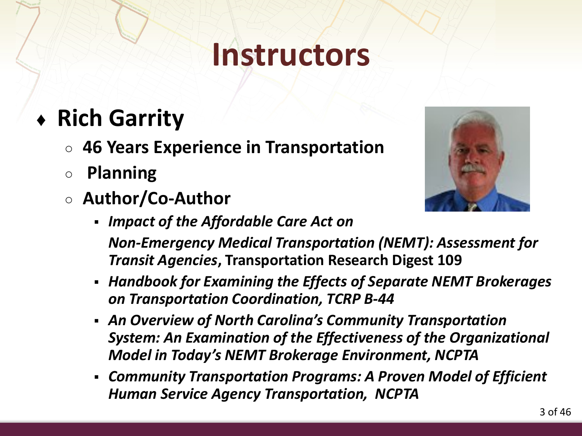### **Instructors**

#### ♦ **Rich Garrity**

- **46 Years Experience in Transportation**
- **Planning**
- **Author/Co-Author**
	- *Impact of the Affordable Care Act on*



- *Non-Emergency Medical Transportation (NEMT): Assessment for Transit Agencies***, Transportation Research Digest 109**
- *Handbook for Examining the Effects of Separate NEMT Brokerages on Transportation Coordination, TCRP B-44*
- *An Overview of North Carolina's Community Transportation System: An Examination of the Effectiveness of the Organizational Model in Today's NEMT Brokerage Environment, NCPTA*
- *Community Transportation Programs: A Proven Model of Efficient Human Service Agency Transportation, NCPTA*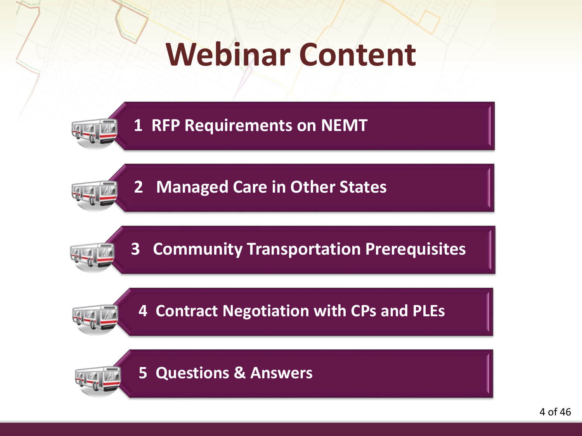# **Webinar Content**



**1 RFP Requirements on NEMT**



**2 Managed Care in Other States**



**3 Community Transportation Prerequisites**

**4 Contract Negotiation with CPs and PLEs**



**5 Questions & Answers**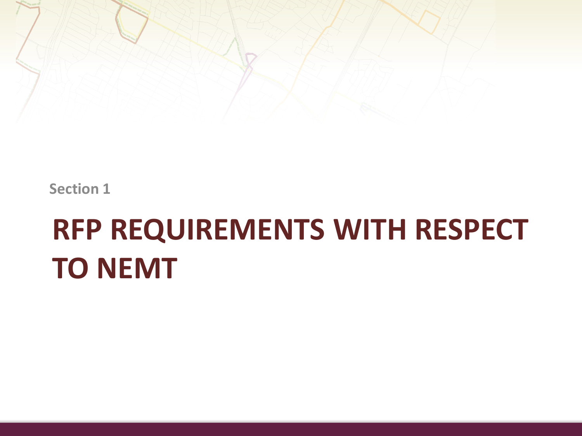

**Section 1**

# **RFP REQUIREMENTS WITH RESPECT TO NEMT**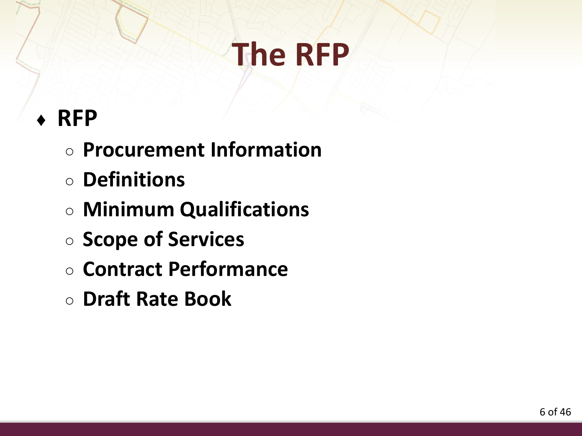#### ♦ **RFP**

- **Procurement Information**
- **Definitions**
- **Minimum Qualifications**
- **Scope of Services**
- **Contract Performance**
- **Draft Rate Book**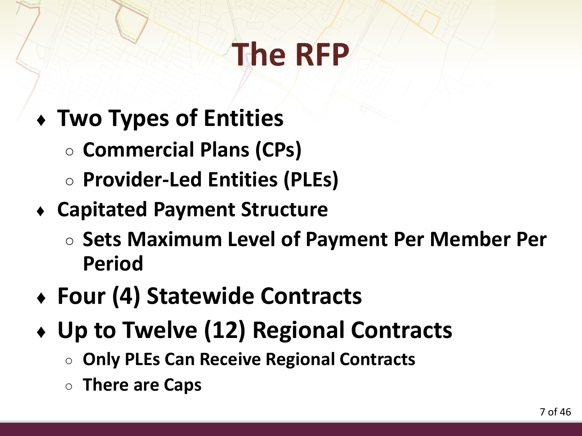- ♦ **Two Types of Entities**
	- **Commercial Plans (CPs)**
	- **Provider-Led Entities (PLEs)**
- ♦ **Capitated Payment Structure**
	- **Sets Maximum Level of Payment Per Member Per Period**
- ♦ **Four (4) Statewide Contracts**
- ♦ **Up to Twelve (12) Regional Contracts**
	- **Only PLEs Can Receive Regional Contracts**
	- **There are Caps**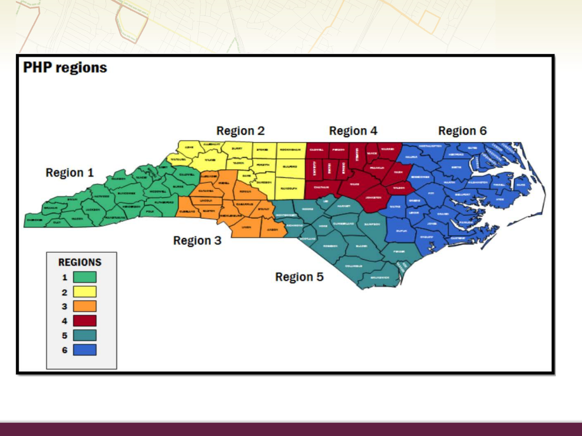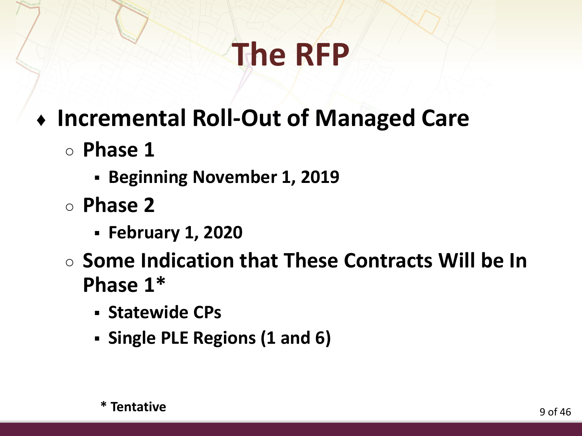- ♦ **Incremental Roll-Out of Managed Care**
	- **Phase 1**
		- **Beginning November 1, 2019**
	- **Phase 2**
		- **February 1, 2020**
	- **Some Indication that These Contracts Will be In Phase 1\***
		- **Statewide CPs**
		- **Single PLE Regions (1 and 6)**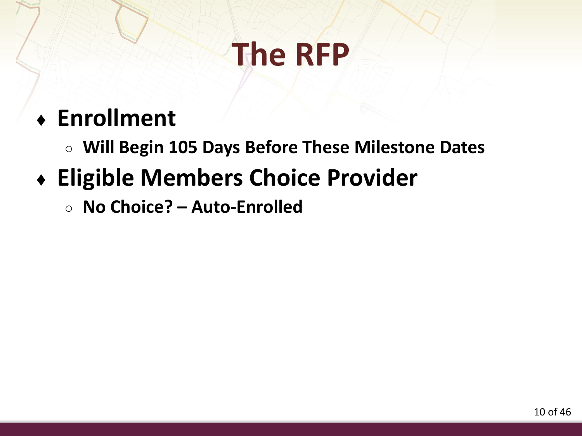#### ♦ **Enrollment**

○ **Will Begin 105 Days Before These Milestone Dates**

#### ♦ **Eligible Members Choice Provider**

○ **No Choice? – Auto-Enrolled**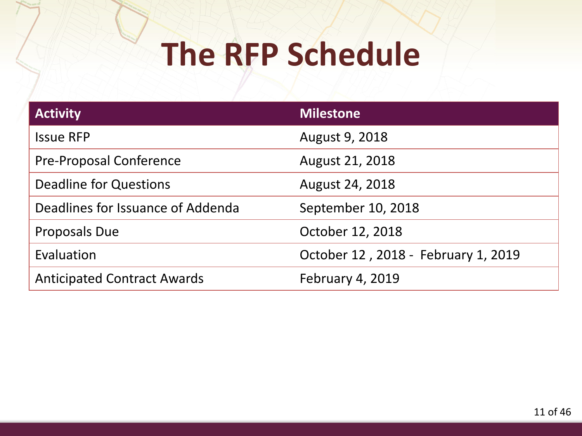# **The RFP Schedule**

| <b>Activity</b>                    | <b>Milestone</b>                    |
|------------------------------------|-------------------------------------|
| <b>Issue RFP</b>                   | August 9, 2018                      |
| <b>Pre-Proposal Conference</b>     | August 21, 2018                     |
| Deadline for Questions             | August 24, 2018                     |
| Deadlines for Issuance of Addenda  | September 10, 2018                  |
| Proposals Due                      | October 12, 2018                    |
| Evaluation                         | October 12, 2018 - February 1, 2019 |
| <b>Anticipated Contract Awards</b> | <b>February 4, 2019</b>             |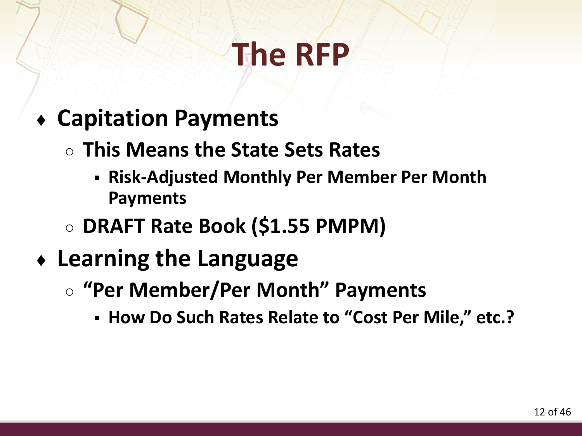- ♦ **Capitation Payments** 
	- **This Means the State Sets Rates**
		- **Risk-Adjusted Monthly Per Member Per Month Payments**
	- **DRAFT Rate Book (\$1.55 PMPM)**
- ♦ **Learning the Language**
	- **"Per Member/Per Month" Payments**
		- **How Do Such Rates Relate to "Cost Per Mile," etc.?**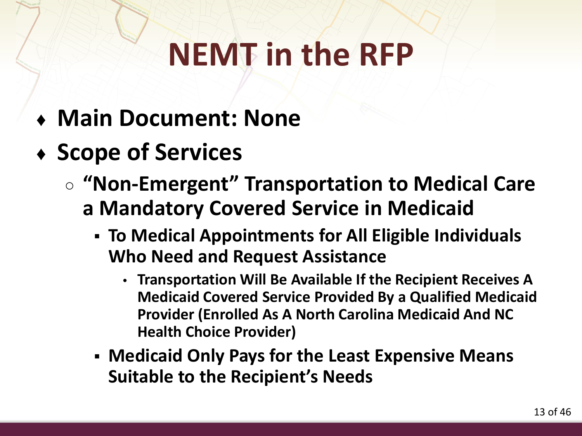- ♦ **Main Document: None**
- ♦ **Scope of Services**
	- **"Non-Emergent" Transportation to Medical Care a Mandatory Covered Service in Medicaid**
		- **To Medical Appointments for All Eligible Individuals Who Need and Request Assistance**
			- **Transportation Will Be Available If the Recipient Receives A Medicaid Covered Service Provided By a Qualified Medicaid Provider (Enrolled As A North Carolina Medicaid And NC Health Choice Provider)**
		- **Medicaid Only Pays for the Least Expensive Means Suitable to the Recipient's Needs**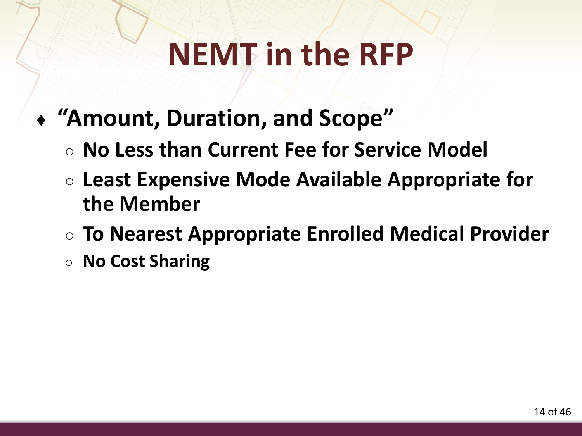- ♦ **"Amount, Duration, and Scope"**
	- **No Less than Current Fee for Service Model**
	- **Least Expensive Mode Available Appropriate for the Member**
	- **To Nearest Appropriate Enrolled Medical Provider**
	- **No Cost Sharing**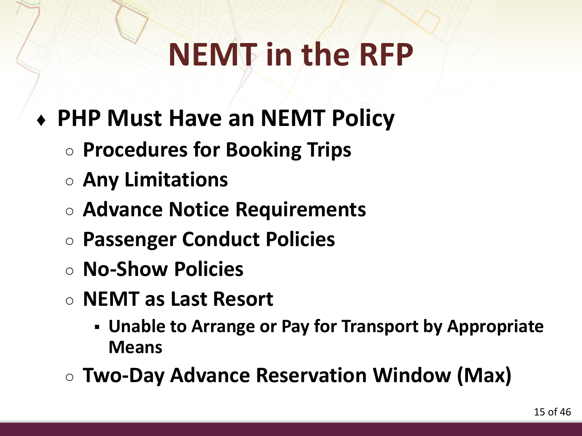- ♦ **PHP Must Have an NEMT Policy**
	- **Procedures for Booking Trips**
	- **Any Limitations**
	- **Advance Notice Requirements**
	- **Passenger Conduct Policies**
	- **No-Show Policies**
	- **NEMT as Last Resort**
		- **Unable to Arrange or Pay for Transport by Appropriate Means**
	- **Two-Day Advance Reservation Window (Max)**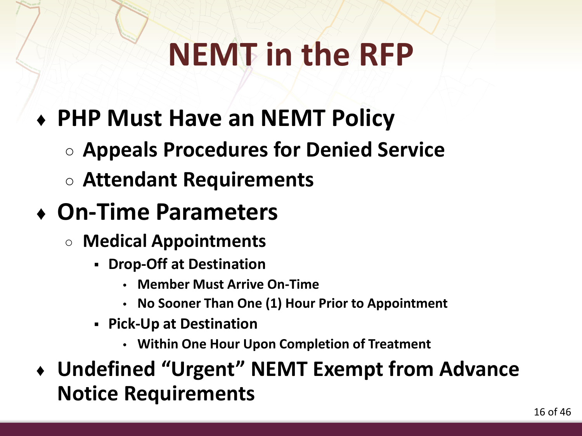- ♦ **PHP Must Have an NEMT Policy**
	- **Appeals Procedures for Denied Service**
	- **Attendant Requirements**
- ♦ **On-Time Parameters**
	- **Medical Appointments**
		- **Drop-Off at Destination**
			- **Member Must Arrive On-Time**
			- **No Sooner Than One (1) Hour Prior to Appointment**
		- **Pick-Up at Destination**
			- **Within One Hour Upon Completion of Treatment**
- ♦ **Undefined "Urgent" NEMT Exempt from Advance Notice Requirements**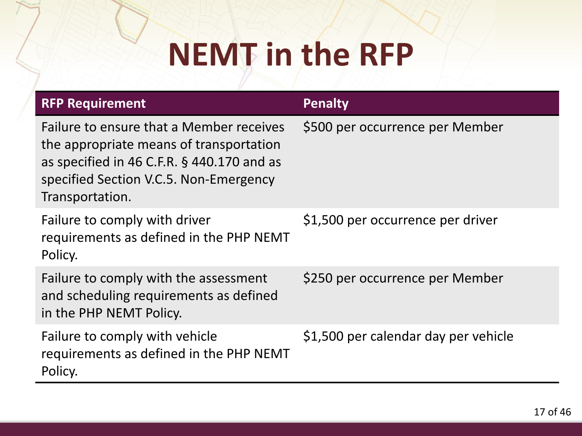| <b>RFP Requirement</b>                                                                                                                                                                            | <b>Penalty</b>                       |
|---------------------------------------------------------------------------------------------------------------------------------------------------------------------------------------------------|--------------------------------------|
| Failure to ensure that a Member receives<br>the appropriate means of transportation<br>as specified in 46 C.F.R. $\S$ 440.170 and as<br>specified Section V.C.5. Non-Emergency<br>Transportation. | \$500 per occurrence per Member      |
| Failure to comply with driver<br>requirements as defined in the PHP NEMT<br>Policy.                                                                                                               | \$1,500 per occurrence per driver    |
| Failure to comply with the assessment<br>and scheduling requirements as defined<br>in the PHP NEMT Policy.                                                                                        | \$250 per occurrence per Member      |
| Failure to comply with vehicle<br>requirements as defined in the PHP NEMT<br>Policy.                                                                                                              | \$1,500 per calendar day per vehicle |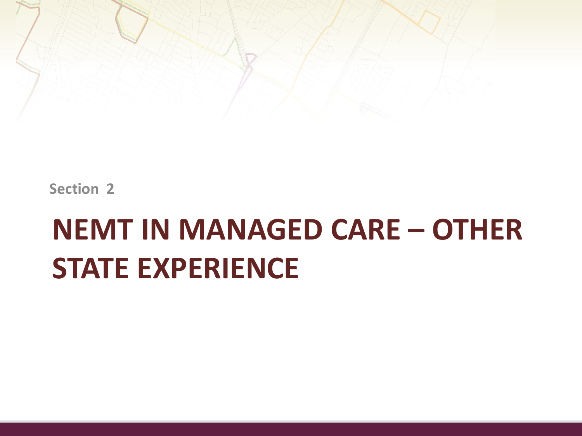

**Section 2**

## **NEMT IN MANAGED CARE – OTHER STATE EXPERIENCE**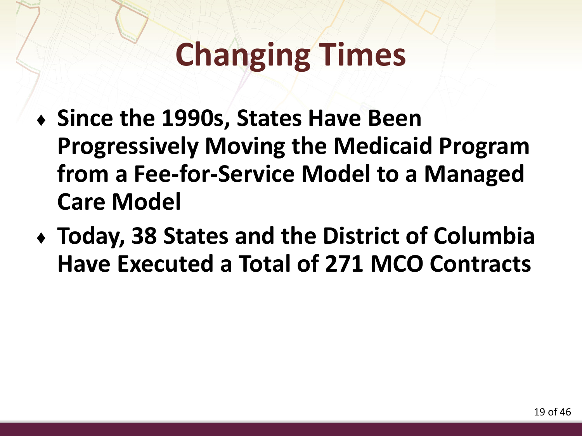# **Changing Times**

- ♦ **Since the 1990s, States Have Been Progressively Moving the Medicaid Program from a Fee-for-Service Model to a Managed Care Model**
- ♦ **Today, 38 States and the District of Columbia Have Executed a Total of 271 MCO Contracts**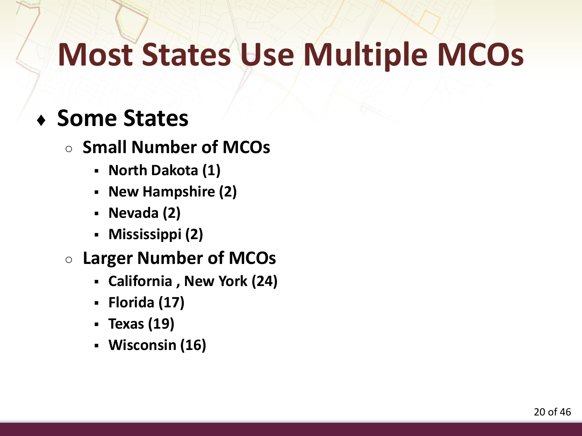### **Most States Use Multiple MCOs**

#### ♦ **Some States**

#### ○ **Small Number of MCOs**

- **North Dakota (1)**
- **New Hampshire (2)**
- **Nevada (2)**
- **Mississippi (2)**

#### ○ **Larger Number of MCOs**

- **California , New York (24)**
- **Florida (17)**
- **Texas (19)**
- **Wisconsin (16)**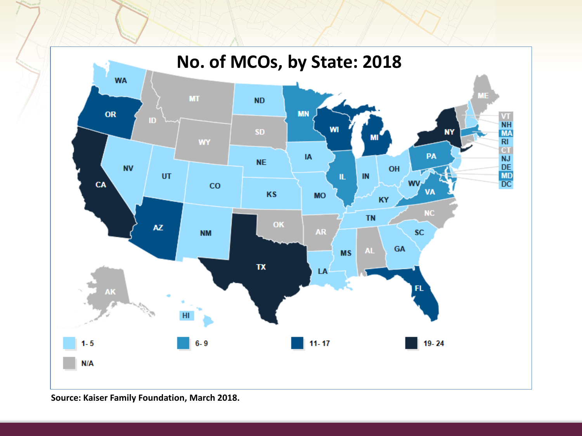

**Source: Kaiser Family Foundation, March 2018.**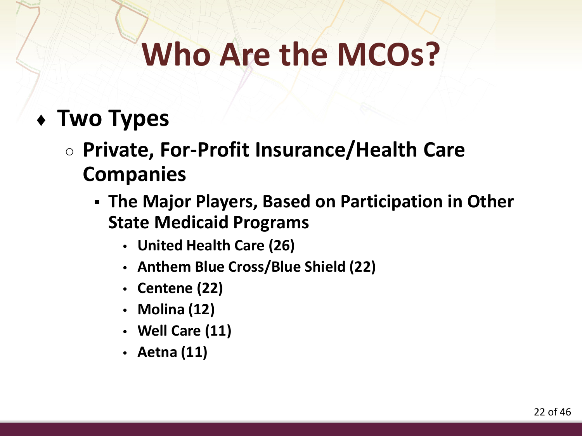# **Who Are the MCOs?**

#### ♦ **Two Types**

- **Private, For-Profit Insurance/Health Care Companies**
	- **The Major Players, Based on Participation in Other State Medicaid Programs**
		- **United Health Care (26)**
		- **Anthem Blue Cross/Blue Shield (22)**
		- **Centene (22)**
		- **Molina (12)**
		- **Well Care (11)**
		- **Aetna (11)**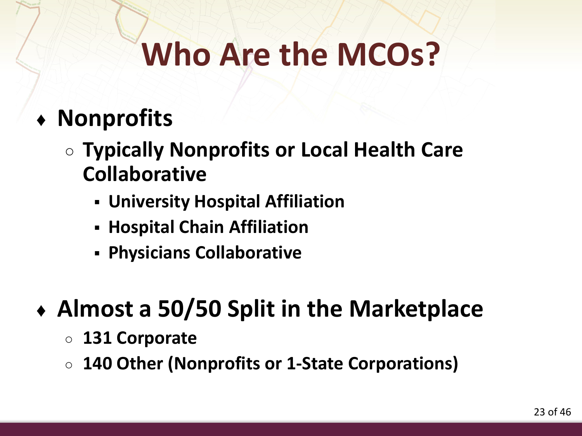# **Who Are the MCOs?**

#### ♦ **Nonprofits**

- **Typically Nonprofits or Local Health Care Collaborative**
	- **University Hospital Affiliation**
	- **Hospital Chain Affiliation**
	- **Physicians Collaborative**

#### ♦ **Almost a 50/50 Split in the Marketplace**

- **131 Corporate**
- **140 Other (Nonprofits or 1-State Corporations)**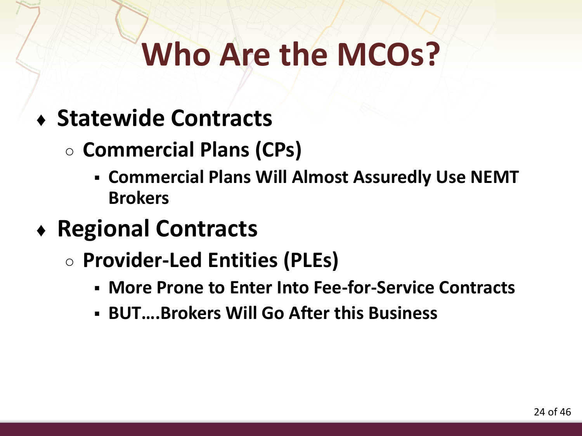# **Who Are the MCOs?**

- ♦ **Statewide Contracts** 
	- **Commercial Plans (CPs)** 
		- **Commercial Plans Will Almost Assuredly Use NEMT Brokers**
- ♦ **Regional Contracts**
	- **Provider-Led Entities (PLEs)**
		- **More Prone to Enter Into Fee-for-Service Contracts**
		- **BUT….Brokers Will Go After this Business**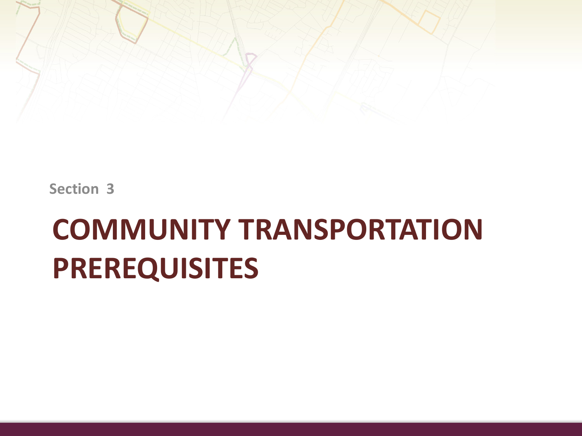

**Section 3**

## **COMMUNITY TRANSPORTATION PREREQUISITES**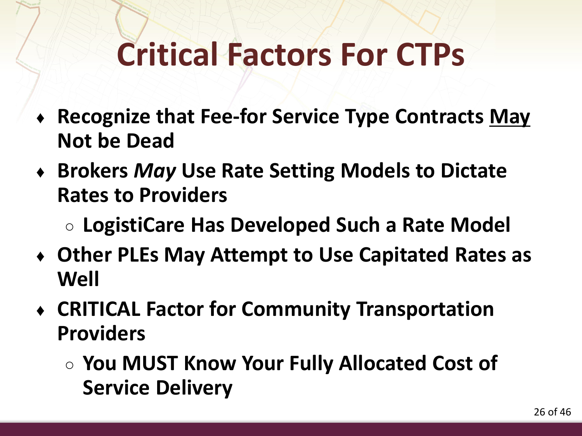- ♦ **Recognize that Fee-for Service Type Contracts May Not be Dead**
- ♦ **Brokers** *May* **Use Rate Setting Models to Dictate Rates to Providers**
	- **LogistiCare Has Developed Such a Rate Model**
- ♦ **Other PLEs May Attempt to Use Capitated Rates as Well**
- ♦ **CRITICAL Factor for Community Transportation Providers**
	- **You MUST Know Your Fully Allocated Cost of Service Delivery**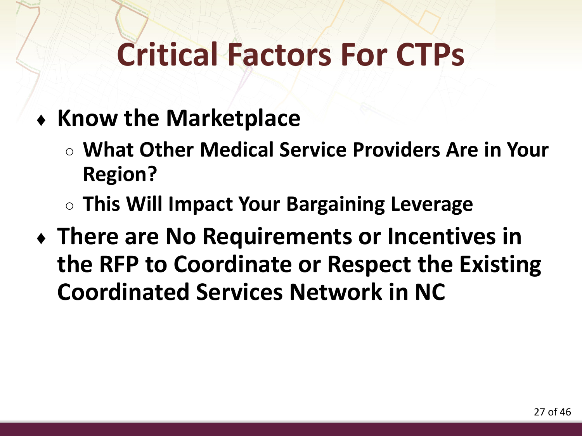- ♦ **Know the Marketplace**
	- **What Other Medical Service Providers Are in Your Region?**
	- **This Will Impact Your Bargaining Leverage**
- ♦ **There are No Requirements or Incentives in the RFP to Coordinate or Respect the Existing Coordinated Services Network in NC**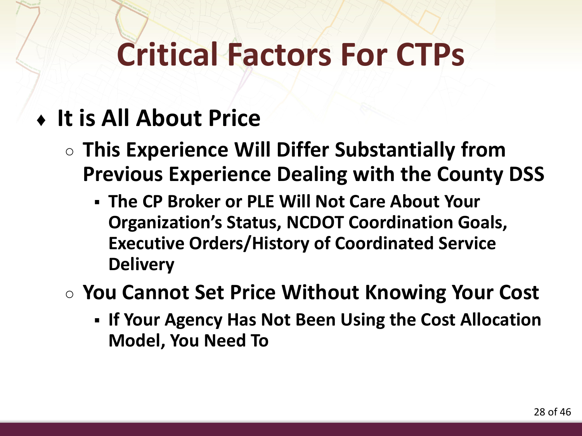#### ♦ **It is All About Price**

- **This Experience Will Differ Substantially from Previous Experience Dealing with the County DSS**
	- **The CP Broker or PLE Will Not Care About Your Organization's Status, NCDOT Coordination Goals, Executive Orders/History of Coordinated Service Delivery**
- **You Cannot Set Price Without Knowing Your Cost**
	- **If Your Agency Has Not Been Using the Cost Allocation Model, You Need To**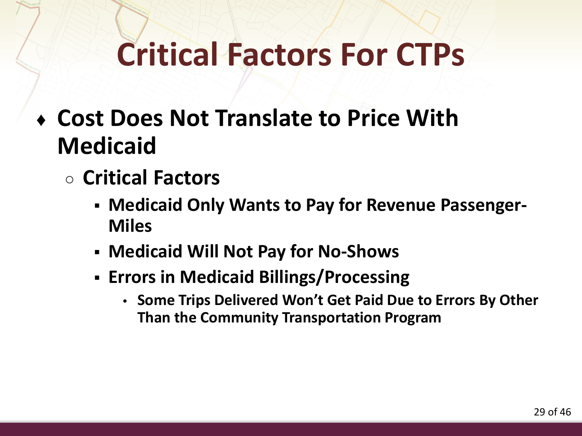- ♦ **Cost Does Not Translate to Price With Medicaid**
	- **Critical Factors**
		- **Medicaid Only Wants to Pay for Revenue Passenger-Miles**
		- **Medicaid Will Not Pay for No-Shows**
		- **Errors in Medicaid Billings/Processing**
			- **Some Trips Delivered Won't Get Paid Due to Errors By Other Than the Community Transportation Program**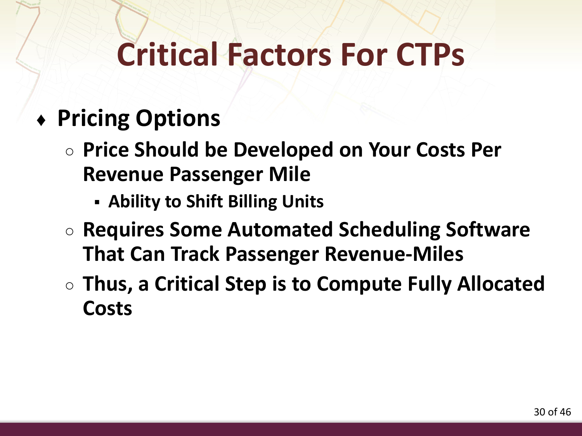#### ♦ **Pricing Options**

- **Price Should be Developed on Your Costs Per Revenue Passenger Mile**
	- **Ability to Shift Billing Units**
- **Requires Some Automated Scheduling Software That Can Track Passenger Revenue-Miles**
- **Thus, a Critical Step is to Compute Fully Allocated Costs**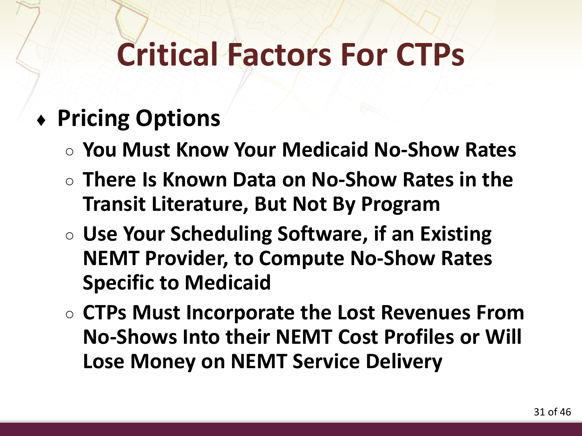#### ♦ **Pricing Options**

- **You Must Know Your Medicaid No-Show Rates**
- **There Is Known Data on No-Show Rates in the Transit Literature, But Not By Program**
- **Use Your Scheduling Software, if an Existing NEMT Provider, to Compute No-Show Rates Specific to Medicaid**
- **CTPs Must Incorporate the Lost Revenues From No-Shows Into their NEMT Cost Profiles or Will Lose Money on NEMT Service Delivery**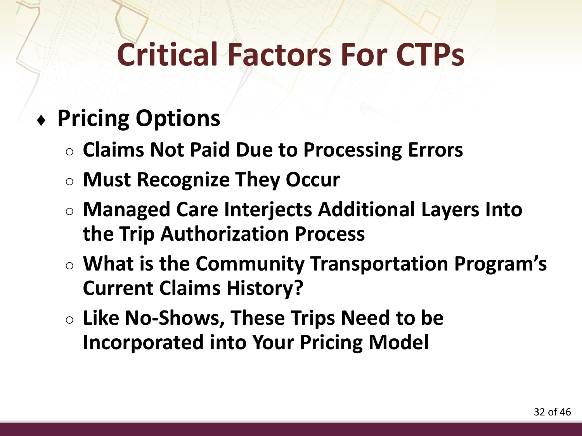#### ♦ **Pricing Options**

- **Claims Not Paid Due to Processing Errors**
- **Must Recognize They Occur**
- **Managed Care Interjects Additional Layers Into the Trip Authorization Process**
- **What is the Community Transportation Program's Current Claims History?**
- **Like No-Shows, These Trips Need to be Incorporated into Your Pricing Model**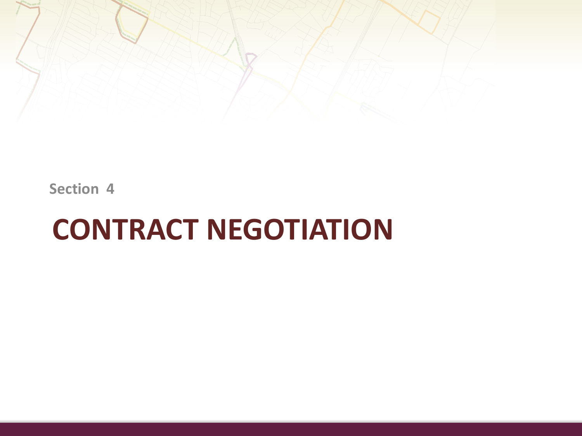

**Section 4**

### **CONTRACT NEGOTIATION**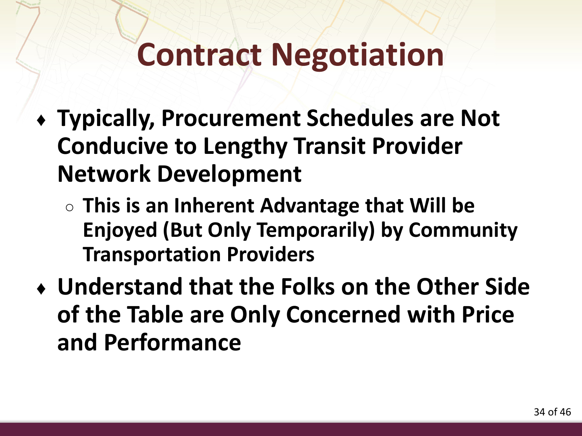- ♦ **Typically, Procurement Schedules are Not Conducive to Lengthy Transit Provider Network Development**
	- **This is an Inherent Advantage that Will be Enjoyed (But Only Temporarily) by Community Transportation Providers**
- ♦ **Understand that the Folks on the Other Side of the Table are Only Concerned with Price and Performance**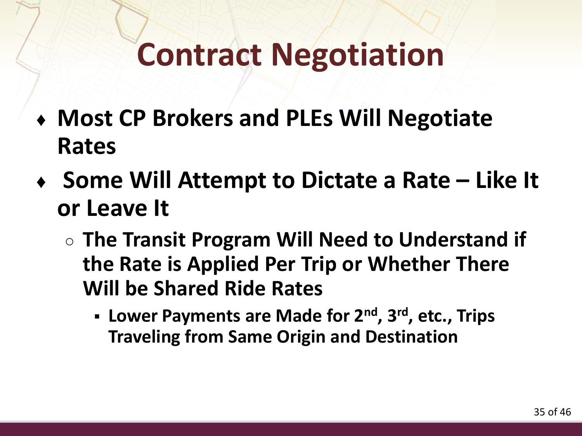- ♦ **Most CP Brokers and PLEs Will Negotiate Rates**
- ♦ **Some Will Attempt to Dictate a Rate – Like It or Leave It**
	- **The Transit Program Will Need to Understand if the Rate is Applied Per Trip or Whether There Will be Shared Ride Rates**
		- **Lower Payments are Made for 2nd, 3rd, etc., Trips Traveling from Same Origin and Destination**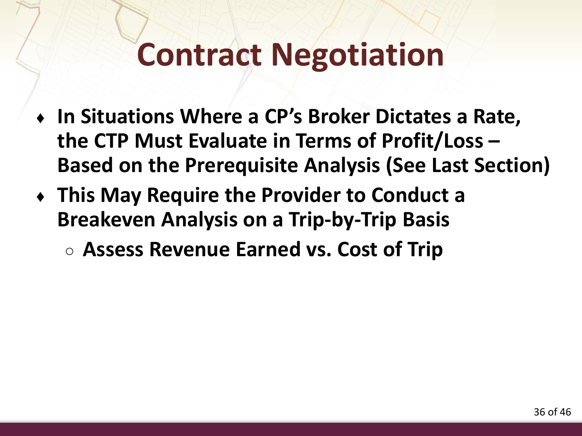- ♦ **In Situations Where a CP's Broker Dictates a Rate, the CTP Must Evaluate in Terms of Profit/Loss – Based on the Prerequisite Analysis (See Last Section)**
- ♦ **This May Require the Provider to Conduct a Breakeven Analysis on a Trip-by-Trip Basis**
	- **Assess Revenue Earned vs. Cost of Trip**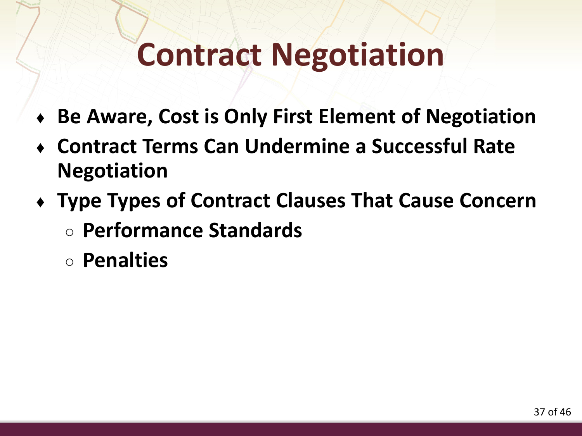- **Be Aware, Cost is Only First Element of Negotiation**
- ♦ **Contract Terms Can Undermine a Successful Rate Negotiation**
- ♦ **Type Types of Contract Clauses That Cause Concern** ○ **Performance Standards**
	- **Penalties**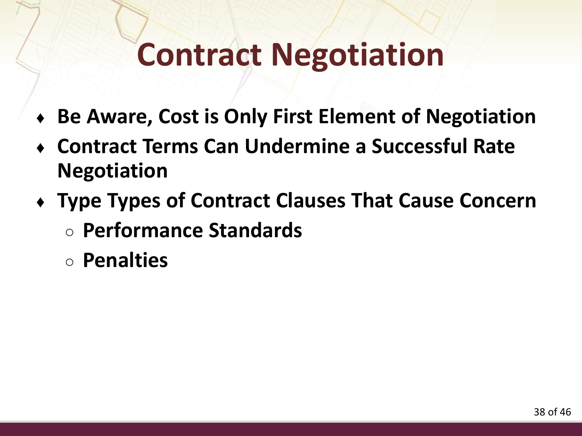- **Be Aware, Cost is Only First Element of Negotiation**
- ♦ **Contract Terms Can Undermine a Successful Rate Negotiation**
- ♦ **Type Types of Contract Clauses That Cause Concern** ○ **Performance Standards**
	- **Penalties**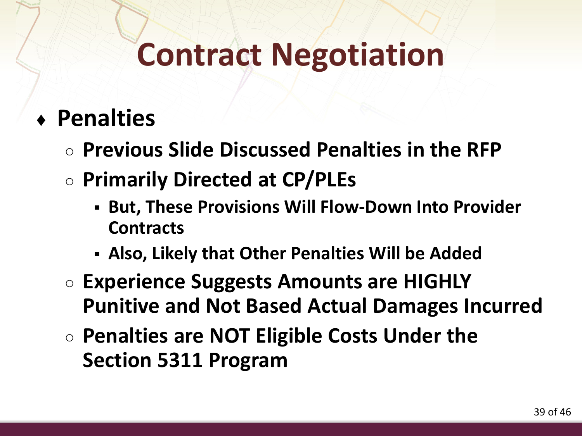#### ♦ **Penalties**

- **Previous Slide Discussed Penalties in the RFP**
- **Primarily Directed at CP/PLEs**
	- **But, These Provisions Will Flow-Down Into Provider Contracts**
	- **Also, Likely that Other Penalties Will be Added**
- **Experience Suggests Amounts are HIGHLY Punitive and Not Based Actual Damages Incurred**
- **Penalties are NOT Eligible Costs Under the Section 5311 Program**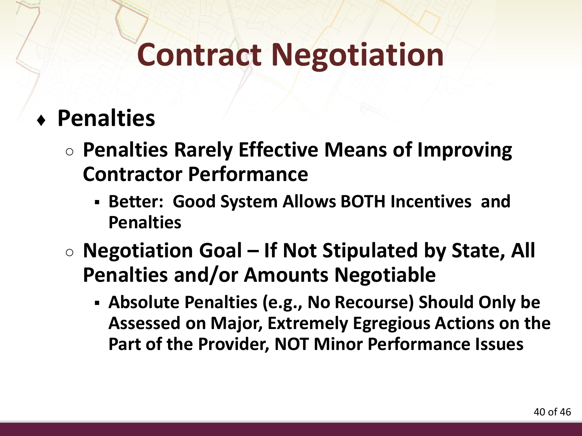#### ♦ **Penalties**

- **Penalties Rarely Effective Means of Improving Contractor Performance**
	- **Better: Good System Allows BOTH Incentives and Penalties**
- **Negotiation Goal – If Not Stipulated by State, All Penalties and/or Amounts Negotiable**
	- **Absolute Penalties (e.g., No Recourse) Should Only be Assessed on Major, Extremely Egregious Actions on the Part of the Provider, NOT Minor Performance Issues**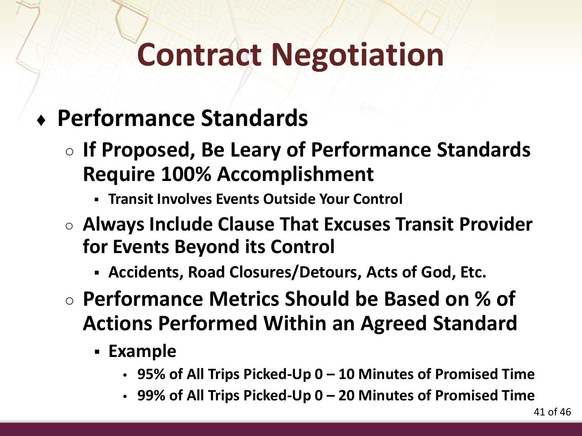#### ♦ **Performance Standards**

- **If Proposed, Be Leary of Performance Standards Require 100% Accomplishment** 
	- **Transit Involves Events Outside Your Control**
- **Always Include Clause That Excuses Transit Provider for Events Beyond its Control**
	- **Accidents, Road Closures/Detours, Acts of God, Etc.**
- **Performance Metrics Should be Based on % of Actions Performed Within an Agreed Standard**
	- **Example**
		- **95% of All Trips Picked-Up 0 – 10 Minutes of Promised Time**
		- **99% of All Trips Picked-Up 0 – 20 Minutes of Promised Time**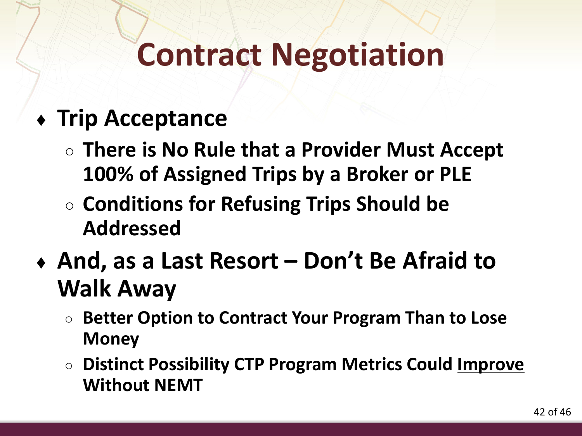#### ♦ **Trip Acceptance**

- **There is No Rule that a Provider Must Accept 100% of Assigned Trips by a Broker or PLE**
- **Conditions for Refusing Trips Should be Addressed**
- ♦ **And, as a Last Resort – Don't Be Afraid to Walk Away**
	- **Better Option to Contract Your Program Than to Lose Money**
	- **Distinct Possibility CTP Program Metrics Could Improve Without NEMT**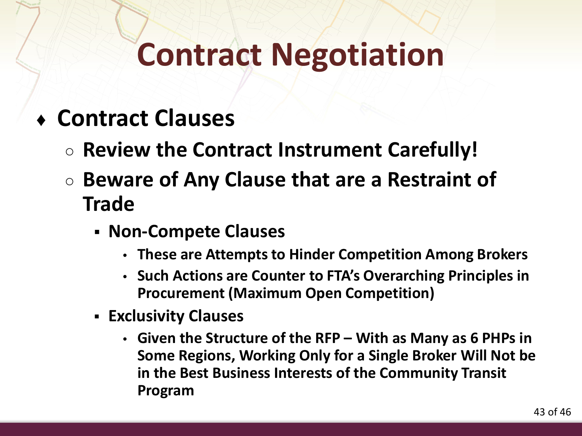- ♦ **Contract Clauses**
	- **Review the Contract Instrument Carefully!**
	- **Beware of Any Clause that are a Restraint of Trade**
		- **Non-Compete Clauses**
			- **These are Attempts to Hinder Competition Among Brokers**
			- **Such Actions are Counter to FTA's Overarching Principles in Procurement (Maximum Open Competition)**
		- **Exclusivity Clauses**
			- **Given the Structure of the RFP – With as Many as 6 PHPs in Some Regions, Working Only for a Single Broker Will Not be in the Best Business Interests of the Community Transit Program**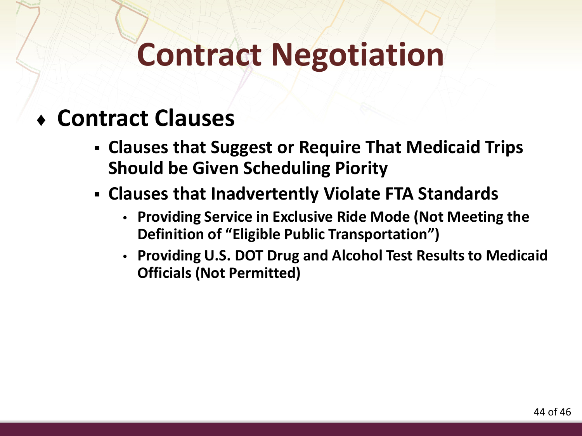#### ♦ **Contract Clauses**

- **Clauses that Suggest or Require That Medicaid Trips Should be Given Scheduling Piority**
- **Clauses that Inadvertently Violate FTA Standards**
	- **Providing Service in Exclusive Ride Mode (Not Meeting the Definition of "Eligible Public Transportation")**
	- **Providing U.S. DOT Drug and Alcohol Test Results to Medicaid Officials (Not Permitted)**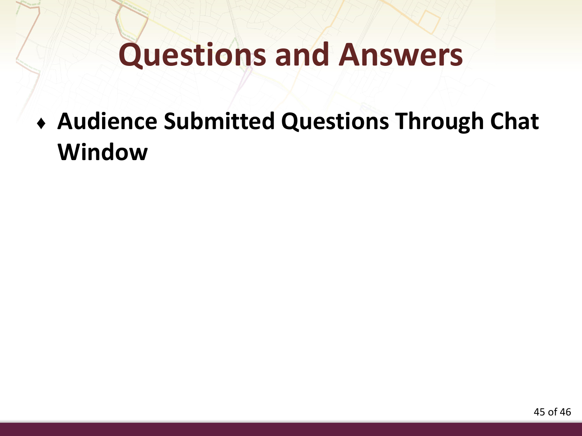### **Questions and Answers**

♦ **Audience Submitted Questions Through Chat Window**